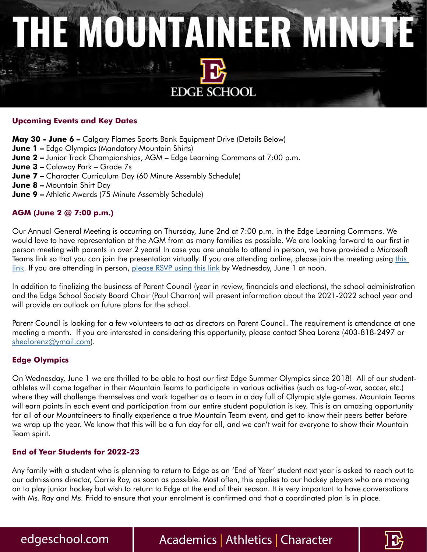# THE MOUNTAINEER MINUTE **EDGE SCHOOL**

#### **Upcoming Events and Key Dates**

**May 30 - June 6 –** Calgary Flames Sports Bank Equipment Drive (Details Below)

- **June 1 –** Edge Olympics (Mandatory Mountain Shirts)
- **June 2 –** Junior Track Championships, AGM Edge Learning Commons at 7:00 p.m.
- **June 3 –** Calaway Park Grade 7s
- **June 7 -** Character Curriculum Day (60 Minute Assembly Schedule)
- **June 8 –** Mountain Shirt Day
- **June 9 –** Athletic Awards (75 Minute Assembly Schedule)

#### **AGM (June 2 @ 7:00 p.m.)**

Our Annual General Meeting is occurring on Thursday, June 2nd at 7:00 p.m. in the Edge Learning Commons. We would love to have representation at the AGM from as many families as possible. We are looking forward to our first in person meeting with parents in over 2 years! In case you are unable to attend in person, we have provided a Microsoft Teams link so that you can join the presentation virtually. If you are attending online, please join the meeting using this [link](https://teams.microsoft.com/l/meetup-join/19%3ac3aedb09beb144dd9675bb7fc5b2b037%40thread.tacv2/1653666540144?context=%7b%22Tid%22%3a%222528e822-2d81-44ea-81a8-280d8319eb7b%22%2c%22Oid%22%3a%2242dba0a9-2d2d-465d-805c-bd20ebabcce7%22%7d). If you are attending in person, [please RSVP using this link](https://docs.google.com/forms/d/e/1FAIpQLSeKZeBwnymxqc5n01AcVMQsHTN3XT-PmQ43at12fhThZv8NWA/viewform) by Wednesday, June 1 at noon.

In addition to finalizing the business of Parent Council (year in review, financials and elections), the school administration and the Edge School Society Board Chair (Paul Charron) will present information about the 2021-2022 school year and will provide an outlook on future plans for the school.

Parent Council is looking for a few volunteers to act as directors on Parent Council. The requirement is attendance at one meeting a month. If you are interested in considering this opportunity, please contact Shea Lorenz (403-818-2497 or [shealorenz@ymail.com\)](mailto:shealorenz%40ymail.com?subject=).

#### **Edge Olympics**

On Wednesday, June 1 we are thrilled to be able to host our first Edge Summer Olympics since 2018! All of our studentathletes will come together in their Mountain Teams to participate in various activities (such as tug-of-war, soccer, etc.) where they will challenge themselves and work together as a team in a day full of Olympic style games. Mountain Teams will earn points in each event and participation from our entire student population is key. This is an amazing opportunity for all of our Mountaineers to finally experience a true Mountain Team event, and get to know their peers better before we wrap up the year. We know that this will be a fun day for all, and we can't wait for everyone to show their Mountain Team spirit.

#### **End of Year Students for 2022-23**

Any family with a student who is planning to return to Edge as an 'End of Year' student next year is asked to reach out to our admissions director, Carrie Ray, as soon as possible. Most often, this applies to our hockey players who are moving on to play junior hockey but wish to return to Edge at the end of their season. It is very important to have conversations with Ms. Ray and Ms. Fridd to ensure that your enrolment is confirmed and that a coordinated plan is in place.

### edgeschool.com | Academics | Athletics | Character

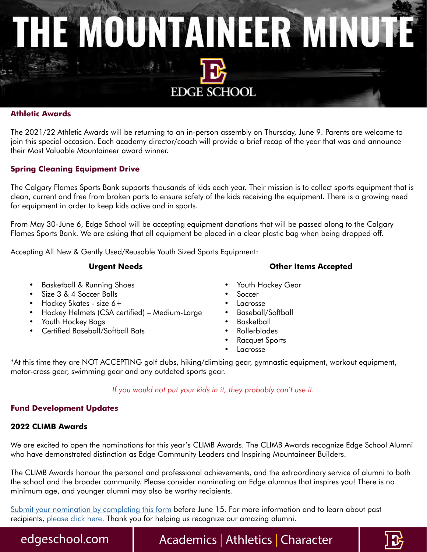# THE MOUNTAINEER MINUTE **EDGE SCHOOL**

#### **Athletic Awards**

The 2021/22 Athletic Awards will be returning to an in-person assembly on Thursday, June 9. Parents are welcome to join this special occasion. Each academy director/coach will provide a brief recap of the year that was and announce their Most Valuable Mountaineer award winner.

#### **Spring Cleaning Equipment Drive**

The Calgary Flames Sports Bank supports thousands of kids each year. Their mission is to collect sports equipment that is clean, current and free from broken parts to ensure safety of the kids receiving the equipment. There is a growing need for equipment in order to keep kids active and in sports.

From May 30-June 6, Edge School will be accepting equipment donations that will be passed along to the Calgary Flames Sports Bank. We are asking that all equipment be placed in a clear plastic bag when being dropped off.

Accepting All New & Gently Used/Reusable Youth Sized Sports Equipment:

#### **Urgent Needs**

- Basketball & Running Shoes
- Size 3 & 4 Soccer Balls
- Hockey Skates size 6+
- Hockey Helmets (CSA certified) Medium-Large
- Youth Hockey Bags
- Certified Baseball/Softball Bats
- **Other Items Accepted**
- Youth Hockey Gear
- **Soccer**
- **Lacrosse**
- Baseball/Softball
- Basketball
- Rollerblades
- Racquet Sports
- **Lacrosse**

\*At this time they are NOT ACCEPTING golf clubs, hiking/climbing gear, gymnastic equipment, workout equipment, motor-cross gear, swimming gear and any outdated sports gear.

*If you would not put your kids in it, they probably can't use it.*

#### **Fund Development Updates**

#### **2022 CLIMB Awards**

We are excited to open the nominations for this year's CLIMB Awards. The CLIMB Awards recognize Edge School Alumni who have demonstrated distinction as Edge Community Leaders and Inspiring Mountaineer Builders.

The CLIMB Awards honour the personal and professional achievements, and the extraordinary service of alumni to both the school and the broader community. Please consider nominating an Edge alumnus that inspires you! There is no minimum age, and younger alumni may also be worthy recipients.

[Submit your nomination by completing this form](https://edgeschool.com/character/climb-awards/2022-nomination/) before June 15. For more information and to learn about past recipients, [please click here](https://bit.ly/2022CLIMBAwards). Thank you for helping us recognize our amazing alumni.

edgeschool.com | Academics | Athletics | Character

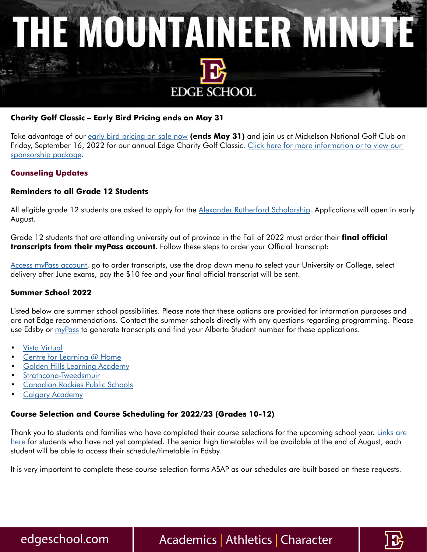

#### **Charity Golf Classic – Early Bird Pricing ends on May 31**

Take advantage of our [early bird pricing on sale now](https://www.canadahelps.org/en/charities/the-edge-mountaineers-forever-foundation/events/edge-charity-golf-classic-2022/) **(ends May 31)** and join us at Mickelson National Golf Club on Friday, September 16, 2022 for our annual Edge Charity Golf Classic. Click here for more information or to view our [sponsorship package.](https://edgeschool.com/giving/charity-golf-classic/)

#### **Counseling Updates**

#### **Reminders to all Grade 12 Students**

All eligible grade 12 students are asked to apply for the [Alexander Rutherford Scholarship.](https://studentaid.alberta.ca/scholarships-and-awards/alexander-rutherford-scholarship/#page2018) Applications will open in early August.

Grade 12 students that are attending university out of province in the Fall of 2022 must order their **final official transcripts from their myPass account**. Follow these steps to order your Official Transcript:

[Access myPass account,](https://public.education.alberta.ca/PASI/mypass/welcome) go to order transcripts, use the drop down menu to select your University or College, select delivery after June exams, pay the \$10 fee and your final official transcript will be sent.

#### **Summer School 2022**

Listed below are summer school possibilities. Please note that these options are provided for information purposes and are not Edge recommendations. Contact the summer schools directly with any questions regarding programming. Please use Edsby or my Pass to generate transcripts and find your Alberta Student number for these applications.

- [Vista Virtual](https://www.vvschool.ca/programs/grades1-12/summer-school/)
- [Centre for Learning @ Home](https://albertahomeeducation.ca/summer-school/)
- [Golden Hills Learning Academy](https://www.goldenhillslearningacademy.com/programs/summer-school)
- [Strathcona-Tweedsmui](https://www.strathconatweedsmuir.com/summer-school/)r
- [Canadian Rockies Public Schools](https://summer.calgaryacademy.com/)
- [Calgary Academy](https://summer.calgaryacademy.com/)

#### **Course Selection and Course Scheduling for 2022/23 (Grades 10-12)**

Thank you to students and families who have completed their course selections for the upcoming school year. Links are [here](https://edgeschool.com/academics/student-services/) for students who have not yet completed. The senior high timetables will be available at the end of August, each student will be able to access their schedule/timetable in Edsby.

It is very important to complete these course selection forms ASAP as our schedules are built based on these requests.

edgeschool.com | Academics | Athletics | Character

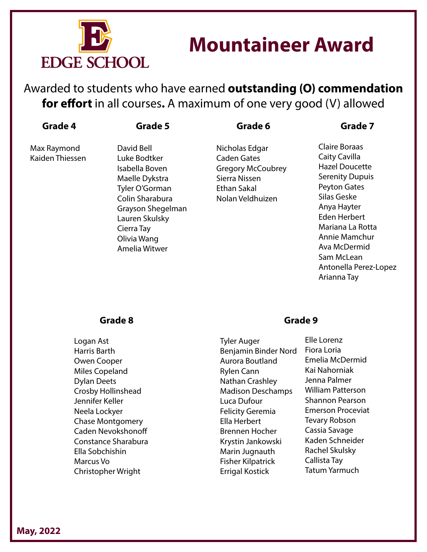

## **Mountaineer Award**

Awarded to students who have earned **outstanding (O) commendation for effort** in all courses**.** A maximum of one very good (V) allowed

| Grade | D |
|-------|---|
|-------|---|

**Grade 5**

**Grade 6**

Max Raymond Kaiden Thiessen

David Bell Luke Bodtker Isabella Boven Maelle Dykstra Tyler O'Gorman Colin Sharabura Grayson Shegelman Lauren Skulsky Cierra Tay Olivia Wang Amelia Witwer

Nicholas Edgar Caden Gates Gregory McCoubrey Sierra Nissen Ethan Sakal Nolan Veldhuizen

#### **Grade 7**

Claire Boraas Caity Cavilla Hazel Doucette Serenity Dupuis Peyton Gates Silas Geske Anya Hayter Eden Herbert Mariana La Rotta Annie Mamchur Ava McDermid Sam McLean Antonella Perez-Lopez Arianna Tay

#### **Grade 8**

Logan Ast Harris Barth Owen Cooper Miles Copeland Dylan Deets Crosby Hollinshead Jennifer Keller Neela Lockyer Chase Montgomery Caden Nevokshonoff Constance Sharabura Ella Sobchishin Marcus Vo Christopher Wright

### **Grade 9**

Tyler Auger Benjamin Binder Nord Aurora Boutland Rylen Cann Nathan Crashley Madison Deschamps Luca Dufour Felicity Geremia Ella Herbert Brennen Hocher Krystin Jankowski Marin Jugnauth Fisher Kilpatrick Errigal Kostick

Elle Lorenz Fiora Loria Emelia McDermid Kai Nahorniak Jenna Palmer William Patterson Shannon Pearson Emerson Proceviat Tevary Robson Cassia Savage Kaden Schneider Rachel Skulsky Callista Tay Tatum Yarmuch